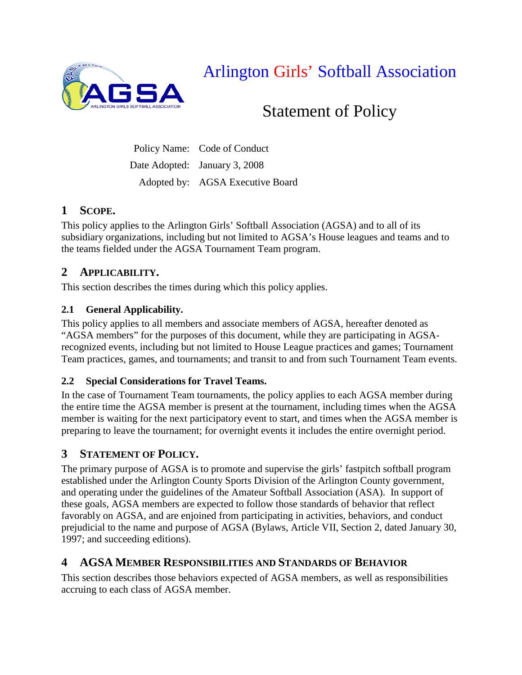

Arlington Girls' Softball Association

# Statement of Policy

Policy Name: Code of Conduct Date Adopted: January 3, 2008 Adopted by: AGSA Executive Board

# **1 SCOPE.**

This policy applies to the Arlington Girls' Softball Association (AGSA) and to all of its subsidiary organizations, including but not limited to AGSA's House leagues and teams and to the teams fielded under the AGSA Tournament Team program.

# **2 APPLICABILITY.**

This section describes the times during which this policy applies.

# **2.1 General Applicability.**

This policy applies to all members and associate members of AGSA, hereafter denoted as "AGSA members" for the purposes of this document, while they are participating in AGSArecognized events, including but not limited to House League practices and games; Tournament Team practices, games, and tournaments; and transit to and from such Tournament Team events.

# **2.2 Special Considerations for Travel Teams.**

In the case of Tournament Team tournaments, the policy applies to each AGSA member during the entire time the AGSA member is present at the tournament, including times when the AGSA member is waiting for the next participatory event to start, and times when the AGSA member is preparing to leave the tournament; for overnight events it includes the entire overnight period.

# **3 STATEMENT OF POLICY.**

The primary purpose of AGSA is to promote and supervise the girls' fastpitch softball program established under the Arlington County Sports Division of the Arlington County government, and operating under the guidelines of the Amateur Softball Association (ASA). In support of these goals, AGSA members are expected to follow those standards of behavior that reflect favorably on AGSA, and are enjoined from participating in activities, behaviors, and conduct prejudicial to the name and purpose of AGSA (Bylaws, Article VII, Section 2, dated January 30, 1997; and succeeding editions).

# **4 AGSA MEMBER RESPONSIBILITIES AND STANDARDS OF BEHAVIOR**

This section describes those behaviors expected of AGSA members, as well as responsibilities accruing to each class of AGSA member.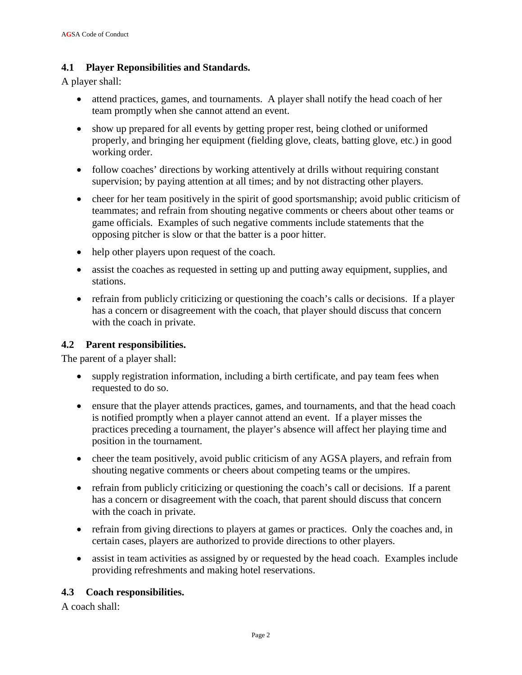#### **4.1 Player Reponsibilities and Standards.**

A player shall:

- attend practices, games, and tournaments. A player shall notify the head coach of her team promptly when she cannot attend an event.
- show up prepared for all events by getting proper rest, being clothed or uniformed properly, and bringing her equipment (fielding glove, cleats, batting glove, etc.) in good working order.
- follow coaches' directions by working attentively at drills without requiring constant supervision; by paying attention at all times; and by not distracting other players.
- cheer for her team positively in the spirit of good sportsmanship; avoid public criticism of teammates; and refrain from shouting negative comments or cheers about other teams or game officials. Examples of such negative comments include statements that the opposing pitcher is slow or that the batter is a poor hitter.
- help other players upon request of the coach.
- assist the coaches as requested in setting up and putting away equipment, supplies, and stations.
- refrain from publicly criticizing or questioning the coach's calls or decisions. If a player has a concern or disagreement with the coach, that player should discuss that concern with the coach in private.

## **4.2 Parent responsibilities.**

The parent of a player shall:

- supply registration information, including a birth certificate, and pay team fees when requested to do so.
- ensure that the player attends practices, games, and tournaments, and that the head coach is notified promptly when a player cannot attend an event. If a player misses the practices preceding a tournament, the player's absence will affect her playing time and position in the tournament.
- cheer the team positively, avoid public criticism of any AGSA players, and refrain from shouting negative comments or cheers about competing teams or the umpires.
- refrain from publicly criticizing or questioning the coach's call or decisions. If a parent has a concern or disagreement with the coach, that parent should discuss that concern with the coach in private.
- refrain from giving directions to players at games or practices. Only the coaches and, in certain cases, players are authorized to provide directions to other players.
- assist in team activities as assigned by or requested by the head coach. Examples include providing refreshments and making hotel reservations.

## **4.3 Coach responsibilities.**

A coach shall: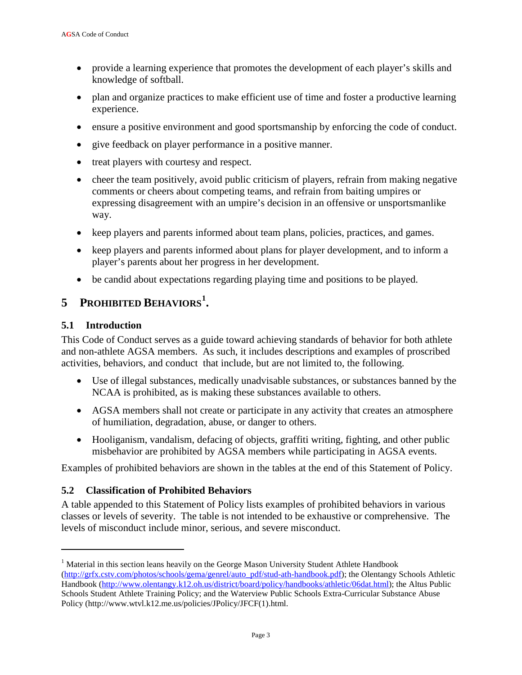- provide a learning experience that promotes the development of each player's skills and knowledge of softball.
- plan and organize practices to make efficient use of time and foster a productive learning experience.
- ensure a positive environment and good sportsmanship by enforcing the code of conduct.
- give feedback on player performance in a positive manner.
- treat players with courtesy and respect.
- cheer the team positively, avoid public criticism of players, refrain from making negative comments or cheers about competing teams, and refrain from baiting umpires or expressing disagreement with an umpire's decision in an offensive or unsportsmanlike way.
- keep players and parents informed about team plans, policies, practices, and games.
- keep players and parents informed about plans for player development, and to inform a player's parents about her progress in her development.
- be candid about expectations regarding playing time and positions to be played.

# **5 PROHIBITED BEHAVIORS[1](#page-2-0) .**

#### **5.1 Introduction**

 $\overline{a}$ 

This Code of Conduct serves as a guide toward achieving standards of behavior for both athlete and non-athlete AGSA members. As such, it includes descriptions and examples of proscribed activities, behaviors, and conduct that include, but are not limited to, the following.

- Use of illegal substances, medically unadvisable substances, or substances banned by the NCAA is prohibited, as is making these substances available to others.
- AGSA members shall not create or participate in any activity that creates an atmosphere of humiliation, degradation, abuse, or danger to others.
- Hooliganism, vandalism, defacing of objects, graffiti writing, fighting, and other public misbehavior are prohibited by AGSA members while participating in AGSA events.

Examples of prohibited behaviors are shown in the tables at the end of this Statement of Policy.

## **5.2 Classification of Prohibited Behaviors**

A table appended to this Statement of Policy lists examples of prohibited behaviors in various classes or levels of severity. The table is not intended to be exhaustive or comprehensive. The levels of misconduct include minor, serious, and severe misconduct.

<span id="page-2-0"></span><sup>&</sup>lt;sup>1</sup> Material in this section leans heavily on the George Mason University Student Athlete Handbook [\(http://grfx.cstv.com/photos/schools/gema/genrel/auto\\_pdf/stud-ath-handbook.pdf\)](http://grfx.cstv.com/photos/schools/gema/genrel/auto_pdf/stud-ath-handbook.pdf); the Olentangy Schools Athletic Handbook [\(http://www.olentangy.k12.oh.us/district/board/policy/handbooks/athletic/06dat.html\)](http://www.olentangy.k12.oh.us/district/board/policy/handbooks/athletic/06dat.html); the Altus Public Schools Student Athlete Training Policy; and the Waterview Public Schools Extra-Curricular Substance Abuse Policy (http://www.wtvl.k12.me.us/policies/JPolicy/JFCF(1).html.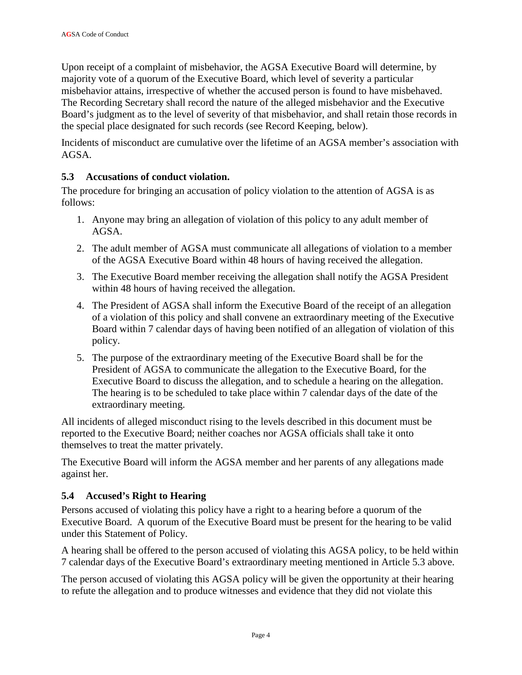Upon receipt of a complaint of misbehavior, the AGSA Executive Board will determine, by majority vote of a quorum of the Executive Board, which level of severity a particular misbehavior attains, irrespective of whether the accused person is found to have misbehaved. The Recording Secretary shall record the nature of the alleged misbehavior and the Executive Board's judgment as to the level of severity of that misbehavior, and shall retain those records in the special place designated for such records (see Record Keeping, below).

Incidents of misconduct are cumulative over the lifetime of an AGSA member's association with AGSA.

## **5.3 Accusations of conduct violation.**

The procedure for bringing an accusation of policy violation to the attention of AGSA is as follows:

- 1. Anyone may bring an allegation of violation of this policy to any adult member of AGSA.
- 2. The adult member of AGSA must communicate all allegations of violation to a member of the AGSA Executive Board within 48 hours of having received the allegation.
- 3. The Executive Board member receiving the allegation shall notify the AGSA President within 48 hours of having received the allegation.
- 4. The President of AGSA shall inform the Executive Board of the receipt of an allegation of a violation of this policy and shall convene an extraordinary meeting of the Executive Board within 7 calendar days of having been notified of an allegation of violation of this policy.
- 5. The purpose of the extraordinary meeting of the Executive Board shall be for the President of AGSA to communicate the allegation to the Executive Board, for the Executive Board to discuss the allegation, and to schedule a hearing on the allegation. The hearing is to be scheduled to take place within 7 calendar days of the date of the extraordinary meeting.

All incidents of alleged misconduct rising to the levels described in this document must be reported to the Executive Board; neither coaches nor AGSA officials shall take it onto themselves to treat the matter privately.

The Executive Board will inform the AGSA member and her parents of any allegations made against her.

## **5.4 Accused's Right to Hearing**

Persons accused of violating this policy have a right to a hearing before a quorum of the Executive Board. A quorum of the Executive Board must be present for the hearing to be valid under this Statement of Policy.

A hearing shall be offered to the person accused of violating this AGSA policy, to be held within 7 calendar days of the Executive Board's extraordinary meeting mentioned in Article 5.3 above.

The person accused of violating this AGSA policy will be given the opportunity at their hearing to refute the allegation and to produce witnesses and evidence that they did not violate this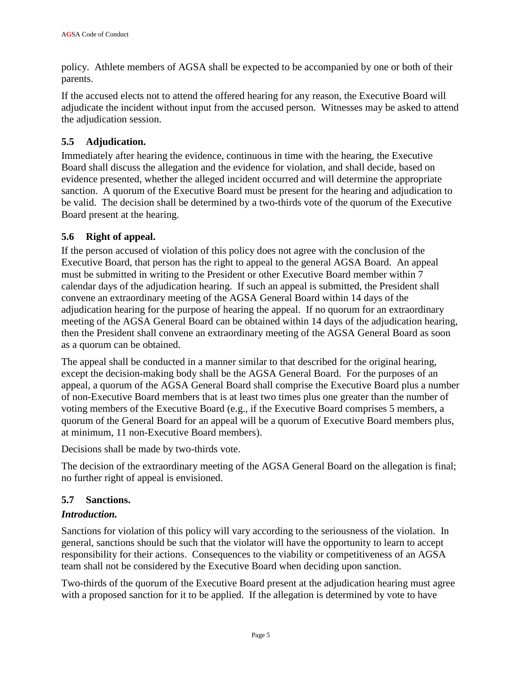policy. Athlete members of AGSA shall be expected to be accompanied by one or both of their parents.

If the accused elects not to attend the offered hearing for any reason, the Executive Board will adjudicate the incident without input from the accused person. Witnesses may be asked to attend the adjudication session.

## **5.5 Adjudication.**

Immediately after hearing the evidence, continuous in time with the hearing, the Executive Board shall discuss the allegation and the evidence for violation, and shall decide, based on evidence presented, whether the alleged incident occurred and will determine the appropriate sanction. A quorum of the Executive Board must be present for the hearing and adjudication to be valid. The decision shall be determined by a two-thirds vote of the quorum of the Executive Board present at the hearing.

## **5.6 Right of appeal.**

If the person accused of violation of this policy does not agree with the conclusion of the Executive Board, that person has the right to appeal to the general AGSA Board. An appeal must be submitted in writing to the President or other Executive Board member within 7 calendar days of the adjudication hearing. If such an appeal is submitted, the President shall convene an extraordinary meeting of the AGSA General Board within 14 days of the adjudication hearing for the purpose of hearing the appeal. If no quorum for an extraordinary meeting of the AGSA General Board can be obtained within 14 days of the adjudication hearing, then the President shall convene an extraordinary meeting of the AGSA General Board as soon as a quorum can be obtained.

The appeal shall be conducted in a manner similar to that described for the original hearing, except the decision-making body shall be the AGSA General Board. For the purposes of an appeal, a quorum of the AGSA General Board shall comprise the Executive Board plus a number of non-Executive Board members that is at least two times plus one greater than the number of voting members of the Executive Board (e.g., if the Executive Board comprises 5 members, a quorum of the General Board for an appeal will be a quorum of Executive Board members plus, at minimum, 11 non-Executive Board members).

Decisions shall be made by two-thirds vote.

The decision of the extraordinary meeting of the AGSA General Board on the allegation is final; no further right of appeal is envisioned.

## **5.7 Sanctions.**

## *Introduction.*

Sanctions for violation of this policy will vary according to the seriousness of the violation. In general, sanctions should be such that the violator will have the opportunity to learn to accept responsibility for their actions. Consequences to the viability or competitiveness of an AGSA team shall not be considered by the Executive Board when deciding upon sanction.

Two-thirds of the quorum of the Executive Board present at the adjudication hearing must agree with a proposed sanction for it to be applied. If the allegation is determined by vote to have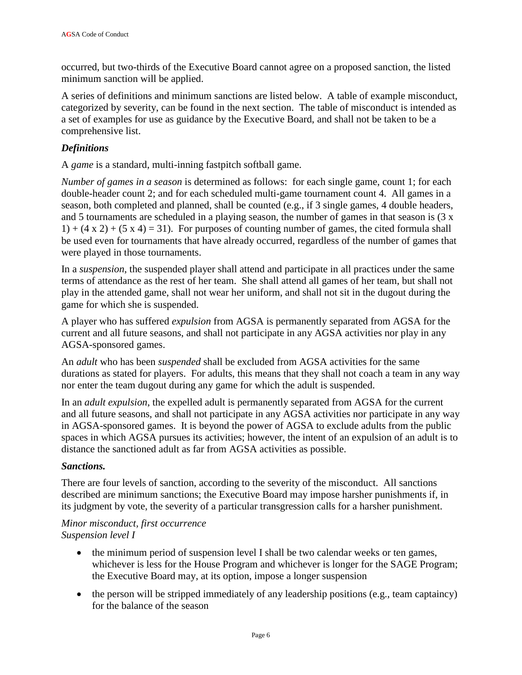occurred, but two-thirds of the Executive Board cannot agree on a proposed sanction, the listed minimum sanction will be applied.

A series of definitions and minimum sanctions are listed below. A table of example misconduct, categorized by severity, can be found in the next section. The table of misconduct is intended as a set of examples for use as guidance by the Executive Board, and shall not be taken to be a comprehensive list.

## *Definitions*

A *game* is a standard, multi-inning fastpitch softball game.

*Number of games in a season* is determined as follows: for each single game, count 1; for each double-header count 2; and for each scheduled multi-game tournament count 4. All games in a season, both completed and planned, shall be counted (e.g., if 3 single games, 4 double headers, and 5 tournaments are scheduled in a playing season, the number of games in that season is (3 x  $1) + (4 \times 2) + (5 \times 4) = 31$ . For purposes of counting number of games, the cited formula shall be used even for tournaments that have already occurred, regardless of the number of games that were played in those tournaments.

In a *suspension*, the suspended player shall attend and participate in all practices under the same terms of attendance as the rest of her team. She shall attend all games of her team, but shall not play in the attended game, shall not wear her uniform, and shall not sit in the dugout during the game for which she is suspended.

A player who has suffered *expulsion* from AGSA is permanently separated from AGSA for the current and all future seasons, and shall not participate in any AGSA activities nor play in any AGSA-sponsored games.

An *adult* who has been *suspended* shall be excluded from AGSA activities for the same durations as stated for players. For adults, this means that they shall not coach a team in any way nor enter the team dugout during any game for which the adult is suspended.

In an *adult expulsion*, the expelled adult is permanently separated from AGSA for the current and all future seasons, and shall not participate in any AGSA activities nor participate in any way in AGSA-sponsored games. It is beyond the power of AGSA to exclude adults from the public spaces in which AGSA pursues its activities; however, the intent of an expulsion of an adult is to distance the sanctioned adult as far from AGSA activities as possible.

#### *Sanctions.*

There are four levels of sanction, according to the severity of the misconduct. All sanctions described are minimum sanctions; the Executive Board may impose harsher punishments if, in its judgment by vote, the severity of a particular transgression calls for a harsher punishment.

#### *Minor misconduct, first occurrence Suspension level I*

- the minimum period of suspension level I shall be two calendar weeks or ten games, whichever is less for the House Program and whichever is longer for the SAGE Program; the Executive Board may, at its option, impose a longer suspension
- the person will be stripped immediately of any leadership positions (e.g., team captaincy) for the balance of the season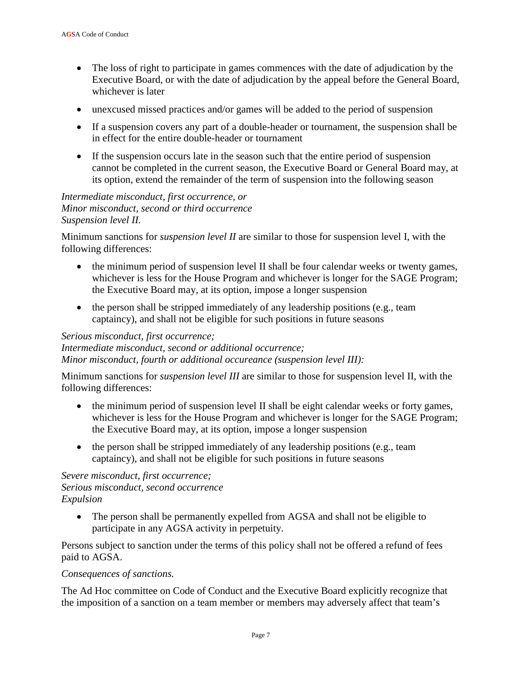- The loss of right to participate in games commences with the date of adjudication by the Executive Board, or with the date of adjudication by the appeal before the General Board, whichever is later
- unexcused missed practices and/or games will be added to the period of suspension
- If a suspension covers any part of a double-header or tournament, the suspension shall be in effect for the entire double-header or tournament
- If the suspension occurs late in the season such that the entire period of suspension cannot be completed in the current season, the Executive Board or General Board may, at its option, extend the remainder of the term of suspension into the following season

#### *Intermediate misconduct, first occurrence, or Minor misconduct, second or third occurrence Suspension level II.*

Minimum sanctions for *suspension level II* are similar to those for suspension level I, with the following differences:

- the minimum period of suspension level II shall be four calendar weeks or twenty games, whichever is less for the House Program and whichever is longer for the SAGE Program; the Executive Board may, at its option, impose a longer suspension
- the person shall be stripped immediately of any leadership positions (e.g., team captaincy), and shall not be eligible for such positions in future seasons

#### *Serious misconduct, first occurrence;*

*Intermediate misconduct, second or additional occurrence; Minor misconduct, fourth or additional occureance (suspension level III):*

Minimum sanctions for *suspension level III* are similar to those for suspension level II, with the following differences:

- the minimum period of suspension level II shall be eight calendar weeks or forty games, whichever is less for the House Program and whichever is longer for the SAGE Program; the Executive Board may, at its option, impose a longer suspension
- the person shall be stripped immediately of any leadership positions (e.g., team captaincy), and shall not be eligible for such positions in future seasons

#### *Severe misconduct, first occurrence; Serious misconduct, second occurrence Expulsion*

• The person shall be permanently expelled from AGSA and shall not be eligible to participate in any AGSA activity in perpetuity.

Persons subject to sanction under the terms of this policy shall not be offered a refund of fees paid to AGSA.

#### *Consequences of sanctions.*

The Ad Hoc committee on Code of Conduct and the Executive Board explicitly recognize that the imposition of a sanction on a team member or members may adversely affect that team's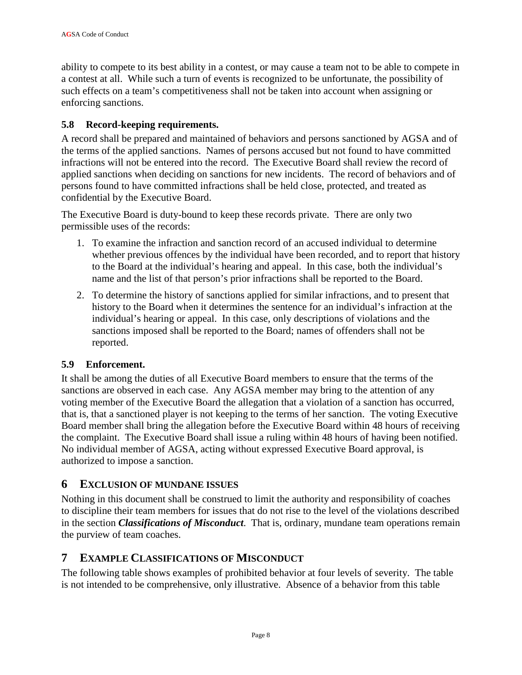ability to compete to its best ability in a contest, or may cause a team not to be able to compete in a contest at all. While such a turn of events is recognized to be unfortunate, the possibility of such effects on a team's competitiveness shall not be taken into account when assigning or enforcing sanctions.

## **5.8 Record-keeping requirements.**

A record shall be prepared and maintained of behaviors and persons sanctioned by AGSA and of the terms of the applied sanctions. Names of persons accused but not found to have committed infractions will not be entered into the record. The Executive Board shall review the record of applied sanctions when deciding on sanctions for new incidents. The record of behaviors and of persons found to have committed infractions shall be held close, protected, and treated as confidential by the Executive Board.

The Executive Board is duty-bound to keep these records private. There are only two permissible uses of the records:

- 1. To examine the infraction and sanction record of an accused individual to determine whether previous offences by the individual have been recorded, and to report that history to the Board at the individual's hearing and appeal. In this case, both the individual's name and the list of that person's prior infractions shall be reported to the Board.
- 2. To determine the history of sanctions applied for similar infractions, and to present that history to the Board when it determines the sentence for an individual's infraction at the individual's hearing or appeal. In this case, only descriptions of violations and the sanctions imposed shall be reported to the Board; names of offenders shall not be reported.

## **5.9 Enforcement.**

It shall be among the duties of all Executive Board members to ensure that the terms of the sanctions are observed in each case. Any AGSA member may bring to the attention of any voting member of the Executive Board the allegation that a violation of a sanction has occurred, that is, that a sanctioned player is not keeping to the terms of her sanction. The voting Executive Board member shall bring the allegation before the Executive Board within 48 hours of receiving the complaint. The Executive Board shall issue a ruling within 48 hours of having been notified. No individual member of AGSA, acting without expressed Executive Board approval, is authorized to impose a sanction.

## **6 EXCLUSION OF MUNDANE ISSUES**

Nothing in this document shall be construed to limit the authority and responsibility of coaches to discipline their team members for issues that do not rise to the level of the violations described in the section *Classifications of Misconduct*. That is, ordinary, mundane team operations remain the purview of team coaches.

# **7 EXAMPLE CLASSIFICATIONS OF MISCONDUCT**

The following table shows examples of prohibited behavior at four levels of severity. The table is not intended to be comprehensive, only illustrative. Absence of a behavior from this table